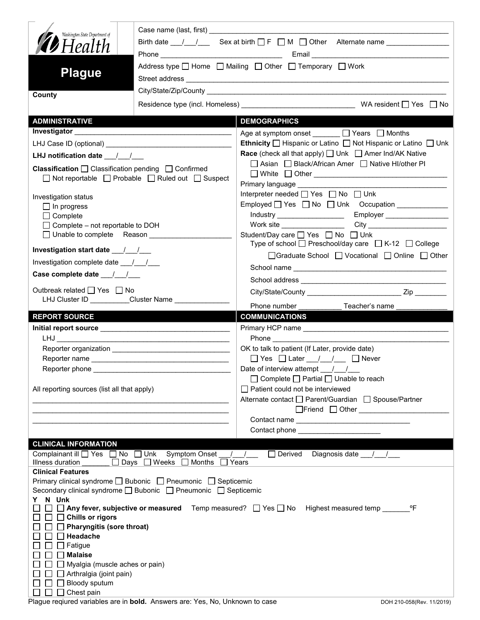| Washington State Department of<br><b>D</b> Health<br><b>Plague</b>   | Birth date $\frac{1}{\sqrt{1-\frac{1}{n}}}$ Sex at birth $\Box F$ $\Box M$ $\Box$ Other Alternate name $\Box$<br>Address type □ Home □ Mailing □ Other □ Temporary □ Work                                                                         |                                                                                                                                                   |  |  |  |
|----------------------------------------------------------------------|---------------------------------------------------------------------------------------------------------------------------------------------------------------------------------------------------------------------------------------------------|---------------------------------------------------------------------------------------------------------------------------------------------------|--|--|--|
| County                                                               |                                                                                                                                                                                                                                                   |                                                                                                                                                   |  |  |  |
| <b>ADMINISTRATIVE</b>                                                |                                                                                                                                                                                                                                                   | <b>DEMOGRAPHICS</b>                                                                                                                               |  |  |  |
|                                                                      |                                                                                                                                                                                                                                                   | Age at symptom onset _______ □ Years □ Months                                                                                                     |  |  |  |
|                                                                      | LHJ Case ID (optional) <b>Analyzing the Contract of Contract Contract Contract Contract Contract Control Contract Contract Contract Contract Contract Contract Contract Contract Contract Contract Contract Contract Contract Co</b>              | <b>Ethnicity</b> $\Box$ Hispanic or Latino $\Box$ Not Hispanic or Latino $\Box$ Unk                                                               |  |  |  |
| LHJ notification date $\frac{1}{2}$                                  |                                                                                                                                                                                                                                                   | <b>Race</b> (check all that apply) $\Box$ Unk $\Box$ Amer Ind/AK Native                                                                           |  |  |  |
| <b>Classification</b> $\Box$ Classification pending $\Box$ Confirmed | $\Box$ Not reportable $\Box$ Probable $\Box$ Ruled out $\Box$ Suspect                                                                                                                                                                             | □ Asian □ Black/African Amer □ Native HI/other PI<br>Primary language __________                                                                  |  |  |  |
| Investigation status                                                 |                                                                                                                                                                                                                                                   | Interpreter needed [ Yes   No   Unk                                                                                                               |  |  |  |
| $\Box$ In progress                                                   |                                                                                                                                                                                                                                                   |                                                                                                                                                   |  |  |  |
| $\Box$ Complete                                                      |                                                                                                                                                                                                                                                   | Employer __________________<br>Industry _____________________                                                                                     |  |  |  |
| $\Box$ Complete - not reportable to DOH                              |                                                                                                                                                                                                                                                   | Work site __________________                                                                                                                      |  |  |  |
| □ Unable to complete Reason __________                               |                                                                                                                                                                                                                                                   | Student/Day care □ Yes □ No □ Unk                                                                                                                 |  |  |  |
|                                                                      |                                                                                                                                                                                                                                                   | Type of school □ Preschool/day care □ K-12 □ College<br>□ Graduate School □ Vocational □ Online □ Other                                           |  |  |  |
| Investigation complete date ___/__/__                                |                                                                                                                                                                                                                                                   |                                                                                                                                                   |  |  |  |
|                                                                      |                                                                                                                                                                                                                                                   |                                                                                                                                                   |  |  |  |
| Outbreak related □ Yes □ No                                          |                                                                                                                                                                                                                                                   |                                                                                                                                                   |  |  |  |
|                                                                      |                                                                                                                                                                                                                                                   | Phone number<br>Teacher's name                                                                                                                    |  |  |  |
|                                                                      |                                                                                                                                                                                                                                                   |                                                                                                                                                   |  |  |  |
| <b>REPORT SOURCE</b>                                                 |                                                                                                                                                                                                                                                   | <b>COMMUNICATIONS</b>                                                                                                                             |  |  |  |
|                                                                      |                                                                                                                                                                                                                                                   |                                                                                                                                                   |  |  |  |
|                                                                      |                                                                                                                                                                                                                                                   |                                                                                                                                                   |  |  |  |
|                                                                      |                                                                                                                                                                                                                                                   | OK to talk to patient (If Later, provide date)                                                                                                    |  |  |  |
|                                                                      |                                                                                                                                                                                                                                                   |                                                                                                                                                   |  |  |  |
| Reporter phone                                                       |                                                                                                                                                                                                                                                   | Date of interview attempt $\frac{1}{\sqrt{2}}$                                                                                                    |  |  |  |
| All reporting sources (list all that apply)                          | the control of the control of the control of the control of the control of the control of the control of the control of<br><u> 2000 - Paris Alexandria, prima de la provincia de la provincia de la provincia de la provincia de la provincia</u> | $\Box$ Complete $\Box$ Partial $\Box$ Unable to reach<br>Patient could not be interviewed<br>Alternate contact □ Parent/Guardian □ Spouse/Partner |  |  |  |
|                                                                      |                                                                                                                                                                                                                                                   | □Friend □ Other <u>______________________</u>                                                                                                     |  |  |  |
|                                                                      |                                                                                                                                                                                                                                                   | Contact phone _____________________                                                                                                               |  |  |  |
| <b>CLINICAL INFORMATION</b>                                          |                                                                                                                                                                                                                                                   |                                                                                                                                                   |  |  |  |
| Complainant ill <u>on</u> Yes and No and Unk Symptom Onset           |                                                                                                                                                                                                                                                   | Derived Diagnosis date 11<br>$\frac{1}{2}$                                                                                                        |  |  |  |
| Illness duration                                                     | ______ Days _ Weeks _ Months                                                                                                                                                                                                                      | Years                                                                                                                                             |  |  |  |
| <b>Clinical Features</b>                                             |                                                                                                                                                                                                                                                   |                                                                                                                                                   |  |  |  |
|                                                                      | Primary clinical syndrome □ Bubonic □ Pneumonic □ Septicemic<br>Secondary clinical syndrome □ Bubonic □ Pneumonic □ Septicemic                                                                                                                    |                                                                                                                                                   |  |  |  |
| Y N Unk                                                              |                                                                                                                                                                                                                                                   |                                                                                                                                                   |  |  |  |
|                                                                      |                                                                                                                                                                                                                                                   | $^{\circ}$ F<br>$\Box$ Any fever, subjective or measured Temp measured? $\Box$ Yes $\Box$ No Highest measured temp                                |  |  |  |
| $\Box$ Chills or rigors                                              |                                                                                                                                                                                                                                                   |                                                                                                                                                   |  |  |  |
| $\Box$ Pharyngitis (sore throat)                                     |                                                                                                                                                                                                                                                   |                                                                                                                                                   |  |  |  |
| $\Box$ Headache<br>$\Box$ Fatigue                                    |                                                                                                                                                                                                                                                   |                                                                                                                                                   |  |  |  |
| <b>Malaise</b>                                                       |                                                                                                                                                                                                                                                   |                                                                                                                                                   |  |  |  |
| Myalgia (muscle aches or pain)                                       |                                                                                                                                                                                                                                                   |                                                                                                                                                   |  |  |  |
| $\Box$ Arthralgia (joint pain)<br>Bloody sputum                      |                                                                                                                                                                                                                                                   |                                                                                                                                                   |  |  |  |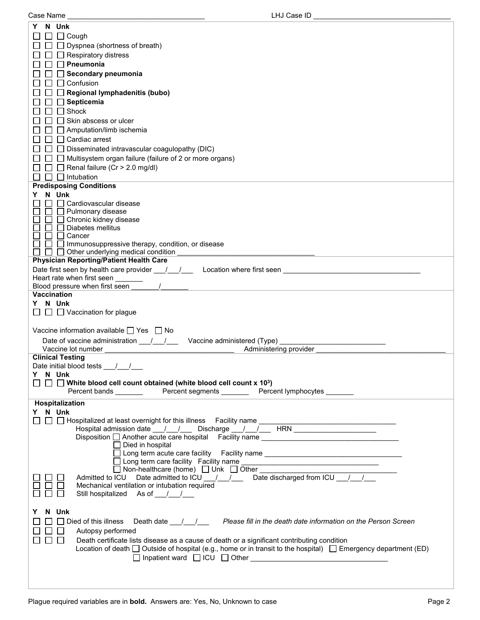| N Unk<br>Y                                                                                                                                                    |  |
|---------------------------------------------------------------------------------------------------------------------------------------------------------------|--|
| $\Box$ $\Box$ Cough                                                                                                                                           |  |
| $\Box$ Dyspnea (shortness of breath)                                                                                                                          |  |
| $\Box$ Respiratory distress                                                                                                                                   |  |
| $\Box$ Pneumonia                                                                                                                                              |  |
| $\Box$ Secondary pneumonia                                                                                                                                    |  |
| $\Box$ Confusion                                                                                                                                              |  |
| $\Box$ Regional lymphadenitis (bubo)                                                                                                                          |  |
| $\Box$ Septicemia                                                                                                                                             |  |
| $\Box$ Shock                                                                                                                                                  |  |
| Skin abscess or ulcer                                                                                                                                         |  |
| $\Box$ Amputation/limb ischemia                                                                                                                               |  |
| $\Box$ $\Box$ Cardiac arrest                                                                                                                                  |  |
| $\Box$ Disseminated intravascular coagulopathy (DIC)                                                                                                          |  |
| $\Box$ Multisystem organ failure (failure of 2 or more organs)                                                                                                |  |
| $\Box$ Renal failure (Cr > 2.0 mg/dl)                                                                                                                         |  |
| $\Box$ Intubation                                                                                                                                             |  |
| <b>Predisposing Conditions</b>                                                                                                                                |  |
| N Unk<br>Y.<br>□ Cardiovascular disease                                                                                                                       |  |
| $\Box$ Pulmonary disease                                                                                                                                      |  |
| □ Chronic kidney disease                                                                                                                                      |  |
| □ Diabetes mellitus                                                                                                                                           |  |
| $\Box$ Cancer                                                                                                                                                 |  |
| $\Box$ Immunosuppressive therapy, condition, or disease                                                                                                       |  |
| $\Box$ $\Box$ Other underlying medical condition<br><b>Physician Reporting/Patient Health Care</b>                                                            |  |
|                                                                                                                                                               |  |
| Heart rate when first seen                                                                                                                                    |  |
| Blood pressure when first seen                                                                                                                                |  |
| Vaccination                                                                                                                                                   |  |
| Y N Unk                                                                                                                                                       |  |
| $\Box$ $\Box$ Vaccination for plague                                                                                                                          |  |
|                                                                                                                                                               |  |
| Vaccine information available $\Box$ Yes $\Box$ No                                                                                                            |  |
| Date of vaccine administration $\frac{1}{\sqrt{2}}$<br>Vaccine administered (Type) _                                                                          |  |
| Vaccine lot number<br>Administering provider                                                                                                                  |  |
| <b>Clinical Testing</b>                                                                                                                                       |  |
| Date initial blood tests / /                                                                                                                                  |  |
| Y N Unk<br>$\Box$ White blood cell count obtained (white blood cell count x 10 <sup>3</sup> )                                                                 |  |
| Percent bands __________  Percent segments _________ Percent lymphocytes ________                                                                             |  |
| Hospitalization                                                                                                                                               |  |
| Y N Unk                                                                                                                                                       |  |
|                                                                                                                                                               |  |
|                                                                                                                                                               |  |
| Disposition another acute care hospital Facility name ___________________________                                                                             |  |
| $\Box$ Died in hospital                                                                                                                                       |  |
| □ Long term acute care facility Facility name __________________________________                                                                              |  |
| □ Long term care facility Facility name<br>□ Non-healthcare (home) □ Unk □ Other<br>Admitted to ICU Date admitted to ICU / / / Date discharged from ICU / / / |  |
|                                                                                                                                                               |  |
| Mechanical ventilation or intubation required                                                                                                                 |  |
| Still hospitalized As of //                                                                                                                                   |  |
|                                                                                                                                                               |  |
| N Unk<br>Y                                                                                                                                                    |  |
| $\Box$ Died of this illness Death date $\Box/\Box/\Box$ Please fill in the death date information on the Person Screen                                        |  |
| Autopsy performed                                                                                                                                             |  |
| $\Box$<br>Death certificate lists disease as a cause of death or a significant contributing condition                                                         |  |
| Location of death $\Box$ Outside of hospital (e.g., home or in transit to the hospital) $\Box$ Emergency department (ED)                                      |  |
|                                                                                                                                                               |  |
|                                                                                                                                                               |  |
|                                                                                                                                                               |  |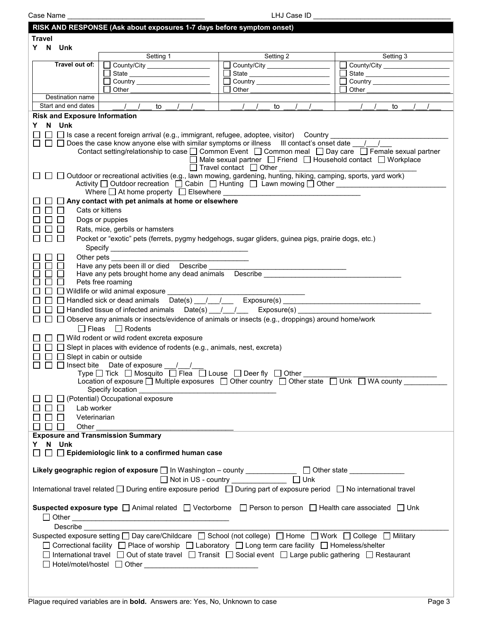| Case Name     |                                      |                                                                                                                                                               | LHJ Case ID                                                    |             |  |
|---------------|--------------------------------------|---------------------------------------------------------------------------------------------------------------------------------------------------------------|----------------------------------------------------------------|-------------|--|
|               |                                      | RISK AND RESPONSE (Ask about exposures 1-7 days before symptom onset)                                                                                         |                                                                |             |  |
| <b>Travel</b> |                                      |                                                                                                                                                               |                                                                |             |  |
|               |                                      |                                                                                                                                                               |                                                                |             |  |
| Y N Unk       |                                      | Setting 1                                                                                                                                                     | Setting 2                                                      |             |  |
|               | Travel out of:                       |                                                                                                                                                               |                                                                | Setting 3   |  |
|               |                                      | County/City __________________                                                                                                                                | County/City                                                    | County/City |  |
|               |                                      |                                                                                                                                                               |                                                                |             |  |
|               |                                      | Other                                                                                                                                                         | Other                                                          | Other       |  |
|               | Destination name                     |                                                                                                                                                               |                                                                |             |  |
|               | Start and end dates                  | $\frac{1}{2}$<br>to                                                                                                                                           | to                                                             | to          |  |
|               |                                      |                                                                                                                                                               |                                                                |             |  |
|               | <b>Risk and Exposure Information</b> |                                                                                                                                                               |                                                                |             |  |
| Y.            | N Unk                                |                                                                                                                                                               |                                                                |             |  |
|               |                                      |                                                                                                                                                               |                                                                |             |  |
|               |                                      |                                                                                                                                                               |                                                                |             |  |
|               |                                      | Contact setting/relationship to case □ Common Event □ Common meal □ Day care □ Female sexual partner                                                          |                                                                |             |  |
|               |                                      |                                                                                                                                                               | □ Male sexual partner □ Friend □ Household contact □ Workplace |             |  |
|               |                                      |                                                                                                                                                               | $\Box$ Travel contact $\Box$ Other                             |             |  |
|               |                                      | Outdoor or recreational activities (e.g., lawn mowing, gardening, hunting, hiking, camping, sports, yard work)                                                |                                                                |             |  |
|               |                                      | Activity $\square$ Outdoor recreation $\square$ Cabin $\square$ Hunting $\square$ Lawn mowing $\square$ Other                                                 |                                                                |             |  |
|               |                                      |                                                                                                                                                               |                                                                |             |  |
|               |                                      | Any contact with pet animals at home or elsewhere                                                                                                             |                                                                |             |  |
|               |                                      | Cats or kittens                                                                                                                                               |                                                                |             |  |
|               |                                      | Dogs or puppies                                                                                                                                               |                                                                |             |  |
|               |                                      | Rats, mice, gerbils or hamsters                                                                                                                               |                                                                |             |  |
|               |                                      | Pocket or "exotic" pets (ferrets, pygmy hedgehogs, sugar gliders, guinea pigs, prairie dogs, etc.)                                                            |                                                                |             |  |
|               |                                      |                                                                                                                                                               |                                                                |             |  |
|               |                                      |                                                                                                                                                               |                                                                |             |  |
|               |                                      | Other pets                                                                                                                                                    |                                                                |             |  |
|               |                                      |                                                                                                                                                               |                                                                |             |  |
|               |                                      |                                                                                                                                                               |                                                                |             |  |
|               |                                      | Pets free roaming                                                                                                                                             |                                                                |             |  |
|               |                                      | □ Wildlife or wild animal exposure _________                                                                                                                  |                                                                |             |  |
|               |                                      | Handled sick or dead animals Date(s) __/ __/ __ Exposure(s) _____________________                                                                             |                                                                |             |  |
|               |                                      |                                                                                                                                                               |                                                                |             |  |
|               |                                      | Observe any animals or insects/evidence of animals or insects (e.g., droppings) around home/work                                                              |                                                                |             |  |
|               |                                      | $\Box$ Fleas $\Box$ Rodents                                                                                                                                   |                                                                |             |  |
|               |                                      | $\Box$ Wild rodent or wild rodent excreta exposure                                                                                                            |                                                                |             |  |
|               |                                      |                                                                                                                                                               |                                                                |             |  |
|               |                                      | $\Box$ Slept in places with evidence of rodents (e.g., animals, nest, excreta)                                                                                |                                                                |             |  |
|               |                                      | $\Box$ Slept in cabin or outside                                                                                                                              |                                                                |             |  |
|               |                                      | $\Box$ $\Box$ Insect bite Date of exposure / /                                                                                                                |                                                                |             |  |
|               |                                      | Type □ Tick □ Mosquito □ Flea □ Louse □ Deer fly □ Other _______<br>Location of exposure D Multiple exposures D Other country D Other state D Unk D WA county |                                                                |             |  |
|               |                                      |                                                                                                                                                               |                                                                |             |  |
|               |                                      |                                                                                                                                                               |                                                                |             |  |
|               |                                      | $\Box$ (Potential) Occupational exposure                                                                                                                      |                                                                |             |  |
|               | Lab worker                           |                                                                                                                                                               |                                                                |             |  |
|               | Veterinarian<br>$\perp$              |                                                                                                                                                               |                                                                |             |  |
| □□            | Other                                |                                                                                                                                                               |                                                                |             |  |
|               |                                      | <b>Exposure and Transmission Summary</b>                                                                                                                      |                                                                |             |  |
| Y N Unk       |                                      |                                                                                                                                                               |                                                                |             |  |
|               |                                      | $\Box$ $\Box$ Epidemiologic link to a confirmed human case                                                                                                    |                                                                |             |  |
|               |                                      |                                                                                                                                                               |                                                                |             |  |
|               |                                      | Likely geographic region of exposure $\square$ In Washington – county _____________ $\square$ Other state _____________                                       |                                                                |             |  |
|               |                                      |                                                                                                                                                               | □ Not in US - country ______________ □ Unk                     |             |  |
|               |                                      | International travel related $\Box$ During entire exposure period $\Box$ During part of exposure period $\Box$ No international travel                        |                                                                |             |  |
|               |                                      |                                                                                                                                                               |                                                                |             |  |
|               |                                      |                                                                                                                                                               |                                                                |             |  |
|               |                                      | Suspected exposure type $\Box$ Animal related $\Box$ Vectorborne $\Box$ Person to person $\Box$ Health care associated $\Box$ Unk                             |                                                                |             |  |
|               |                                      |                                                                                                                                                               |                                                                |             |  |
|               | <b>Describe</b>                      |                                                                                                                                                               |                                                                |             |  |
|               |                                      | Suspected exposure setting □ Day care/Childcare □ School (not college) □ Home □ Work □ College □ Military                                                     |                                                                |             |  |
|               |                                      | □ Correctional facility □ Place of worship □ Laboratory □ Long term care facility □ Homeless/shelter                                                          |                                                                |             |  |
|               |                                      |                                                                                                                                                               |                                                                |             |  |
|               |                                      | □ International travel □ Out of state travel □ Transit □ Social event □ Large public gathering □ Restaurant                                                   |                                                                |             |  |
|               |                                      |                                                                                                                                                               |                                                                |             |  |
|               |                                      |                                                                                                                                                               |                                                                |             |  |
|               |                                      |                                                                                                                                                               |                                                                |             |  |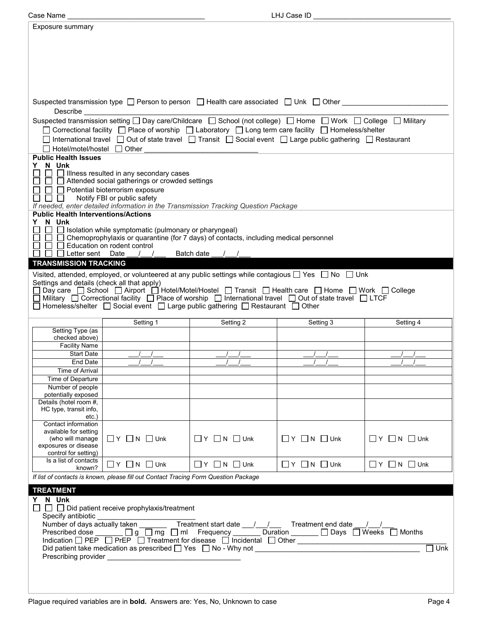| Case Name                                     |                                                                                                                                                                                                                                               |                                  | LHJ Case ID                  |                                  |  |  |
|-----------------------------------------------|-----------------------------------------------------------------------------------------------------------------------------------------------------------------------------------------------------------------------------------------------|----------------------------------|------------------------------|----------------------------------|--|--|
| Exposure summary                              |                                                                                                                                                                                                                                               |                                  |                              |                                  |  |  |
|                                               |                                                                                                                                                                                                                                               |                                  |                              |                                  |  |  |
|                                               |                                                                                                                                                                                                                                               |                                  |                              |                                  |  |  |
|                                               |                                                                                                                                                                                                                                               |                                  |                              |                                  |  |  |
|                                               |                                                                                                                                                                                                                                               |                                  |                              |                                  |  |  |
|                                               |                                                                                                                                                                                                                                               |                                  |                              |                                  |  |  |
|                                               |                                                                                                                                                                                                                                               |                                  |                              |                                  |  |  |
|                                               |                                                                                                                                                                                                                                               |                                  |                              |                                  |  |  |
|                                               | Suspected transmission type $\Box$ Person to person $\Box$ Health care associated $\Box$ Unk $\Box$ Other                                                                                                                                     |                                  |                              |                                  |  |  |
| Describe                                      |                                                                                                                                                                                                                                               |                                  |                              |                                  |  |  |
|                                               |                                                                                                                                                                                                                                               |                                  |                              |                                  |  |  |
|                                               | Suspected transmission setting □ Day care/Childcare □ School (not college) □ Home □ Work □ College □ Military<br>□ Correctional facility □ Place of worship □ Laboratory □ Long term care facility □ Homeless/shelter                         |                                  |                              |                                  |  |  |
|                                               | $□$ International travel $□$ Out of state travel $□$ Transit $□$ Social event $□$ Large public gathering $□$ Restaurant                                                                                                                       |                                  |                              |                                  |  |  |
| □ Hotel/motel/hostel □ Other                  |                                                                                                                                                                                                                                               |                                  |                              |                                  |  |  |
| <b>Public Health Issues</b>                   |                                                                                                                                                                                                                                               |                                  |                              |                                  |  |  |
| N Unk<br>Y.                                   |                                                                                                                                                                                                                                               |                                  |                              |                                  |  |  |
|                                               | $\Box$ Illness resulted in any secondary cases                                                                                                                                                                                                |                                  |                              |                                  |  |  |
|                                               | $\Box$ Attended social gatherings or crowded settings                                                                                                                                                                                         |                                  |                              |                                  |  |  |
|                                               | $\Box$ Potential bioterrorism exposure                                                                                                                                                                                                        |                                  |                              |                                  |  |  |
| $\Box$                                        | Notify FBI or public safety<br>If needed, enter detailed information in the Transmission Tracking Question Package                                                                                                                            |                                  |                              |                                  |  |  |
| <b>Public Health Interventions/Actions</b>    |                                                                                                                                                                                                                                               |                                  |                              |                                  |  |  |
| N Unk<br>Y.                                   |                                                                                                                                                                                                                                               |                                  |                              |                                  |  |  |
|                                               | $\Box$ Isolation while symptomatic (pulmonary or pharyngeal)                                                                                                                                                                                  |                                  |                              |                                  |  |  |
|                                               | $\Box$ Chemoprophylaxis or quarantine (for 7 days) of contacts, including medical personnel                                                                                                                                                   |                                  |                              |                                  |  |  |
|                                               | Education on rodent control                                                                                                                                                                                                                   |                                  |                              |                                  |  |  |
|                                               | $\Box$ Letter sent Date / /                                                                                                                                                                                                                   | Batch date                       |                              |                                  |  |  |
| <b>TRANSMISSION TRACKING</b>                  |                                                                                                                                                                                                                                               |                                  |                              |                                  |  |  |
|                                               | Visited, attended, employed, or volunteered at any public settings while contagious □ Yes □ No □ Unk                                                                                                                                          |                                  |                              |                                  |  |  |
| Settings and details (check all that apply)   |                                                                                                                                                                                                                                               |                                  |                              |                                  |  |  |
|                                               | □ Day care □ School □ Airport □ Hotel/Motel/Hostel □ Transit □ Health care □ Home □ Work □ College<br>$\Box$ Military $\Box$ Correctional facility $\Box$ Place of worship $\Box$ International travel $\Box$ Out of state travel $\Box$ LTCF |                                  |                              |                                  |  |  |
|                                               | □ Homeless/shelter □ Social event □ Large public gathering □ Restaurant □ Other                                                                                                                                                               |                                  |                              |                                  |  |  |
|                                               |                                                                                                                                                                                                                                               |                                  |                              |                                  |  |  |
|                                               | Setting 1                                                                                                                                                                                                                                     | Setting 2                        | Setting 3                    | Setting 4                        |  |  |
| Setting Type (as                              |                                                                                                                                                                                                                                               |                                  |                              |                                  |  |  |
| checked above)<br><b>Facility Name</b>        |                                                                                                                                                                                                                                               |                                  |                              |                                  |  |  |
| <b>Start Date</b>                             |                                                                                                                                                                                                                                               |                                  |                              |                                  |  |  |
| End Date                                      |                                                                                                                                                                                                                                               |                                  |                              |                                  |  |  |
| Time of Arrival                               |                                                                                                                                                                                                                                               |                                  |                              |                                  |  |  |
| Time of Departure                             |                                                                                                                                                                                                                                               |                                  |                              |                                  |  |  |
| Number of people                              |                                                                                                                                                                                                                                               |                                  |                              |                                  |  |  |
| potentially exposed<br>Details (hotel room #, |                                                                                                                                                                                                                                               |                                  |                              |                                  |  |  |
| HC type, transit info,                        |                                                                                                                                                                                                                                               |                                  |                              |                                  |  |  |
| etc.)                                         |                                                                                                                                                                                                                                               |                                  |                              |                                  |  |  |
| Contact information                           |                                                                                                                                                                                                                                               |                                  |                              |                                  |  |  |
| available for setting<br>(who will manage     | $\Box$ Y $\Box$ N $\Box$ Unk                                                                                                                                                                                                                  | $\Box$ $Y$ $\Box$ $N$ $\Box$ Unk | $\Box$ Y $\Box$ N $\Box$ Unk | $\Box$ $Y$ $\Box$ $N$ $\Box$ Unk |  |  |
| exposures or disease                          |                                                                                                                                                                                                                                               |                                  |                              |                                  |  |  |
| control for setting)                          |                                                                                                                                                                                                                                               |                                  |                              |                                  |  |  |
| Is a list of contacts                         | $\Box$ Y $\Box$ N $\Box$ Unk                                                                                                                                                                                                                  | $\Box$ Y $\Box$ N $\Box$ Unk     | $\Box$ Y $\Box$ N $\Box$ Unk | $\Box$ Y $\Box$ N $\Box$ Unk     |  |  |
| known?                                        |                                                                                                                                                                                                                                               |                                  |                              |                                  |  |  |
|                                               | If list of contacts is known, please fill out Contact Tracing Form Question Package                                                                                                                                                           |                                  |                              |                                  |  |  |
| <b>TREATMENT</b>                              |                                                                                                                                                                                                                                               |                                  |                              |                                  |  |  |
| Y N Unk                                       |                                                                                                                                                                                                                                               |                                  |                              |                                  |  |  |
|                                               | $\Box$ $\Box$ Did patient receive prophylaxis/treatment                                                                                                                                                                                       |                                  |                              |                                  |  |  |
|                                               |                                                                                                                                                                                                                                               |                                  |                              |                                  |  |  |
|                                               |                                                                                                                                                                                                                                               |                                  |                              |                                  |  |  |
|                                               | Prescribed dose _____ □ g □ mg □ ml Frequency ______ Duration _____ □ Days □ Weeks □ Months<br>Indication □ PEP □ PrEP □ Treatment for disease □ Incidental □ Other                                                                           |                                  |                              |                                  |  |  |
|                                               |                                                                                                                                                                                                                                               |                                  |                              | $\overline{\text{Unk}}$          |  |  |
|                                               |                                                                                                                                                                                                                                               |                                  |                              |                                  |  |  |
|                                               |                                                                                                                                                                                                                                               |                                  |                              |                                  |  |  |
|                                               |                                                                                                                                                                                                                                               |                                  |                              |                                  |  |  |